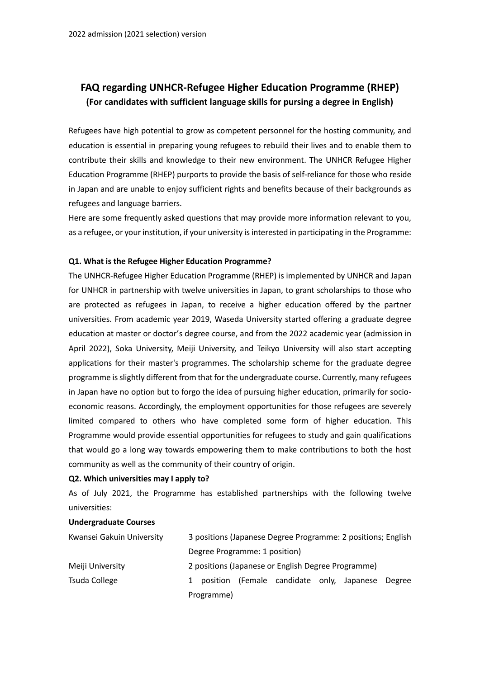# **FAQ regarding UNHCR-Refugee Higher Education Programme (RHEP) (For candidates with sufficient language skills for pursing a degree in English)**

Refugees have high potential to grow as competent personnel for the hosting community, and education is essential in preparing young refugees to rebuild their lives and to enable them to contribute their skills and knowledge to their new environment. The UNHCR Refugee Higher Education Programme (RHEP) purports to provide the basis of self-reliance for those who reside in Japan and are unable to enjoy sufficient rights and benefits because of their backgrounds as refugees and language barriers.

Here are some frequently asked questions that may provide more information relevant to you, as a refugee, or your institution, if your university is interested in participating in the Programme:

### **Q1. What is the Refugee Higher Education Programme?**

The UNHCR-Refugee Higher Education Programme (RHEP) is implemented by UNHCR and Japan for UNHCR in partnership with twelve universities in Japan, to grant scholarships to those who are protected as refugees in Japan, to receive a higher education offered by the partner universities. From academic year 2019, Waseda University started offering a graduate degree education at master or doctor's degree course, and from the 2022 academic year (admission in April 2022), Soka University, Meiji University, and Teikyo University will also start accepting applications for their master's programmes. The scholarship scheme for the graduate degree programme is slightly different from that for the undergraduate course. Currently, many refugees in Japan have no option but to forgo the idea of pursuing higher education, primarily for socioeconomic reasons. Accordingly, the employment opportunities for those refugees are severely limited compared to others who have completed some form of higher education. This Programme would provide essential opportunities for refugees to study and gain qualifications that would go a long way towards empowering them to make contributions to both the host community as well as the community of their country of origin.

#### **Q2. Which universities may I apply to?**

As of July 2021, the Programme has established partnerships with the following twelve universities:

#### **Undergraduate Courses**

| Kwansei Gakuin University | 3 positions (Japanese Degree Programme: 2 positions; English |  |  |  |  |  |
|---------------------------|--------------------------------------------------------------|--|--|--|--|--|
|                           | Degree Programme: 1 position)                                |  |  |  |  |  |
| Meiji University          | 2 positions (Japanese or English Degree Programme)           |  |  |  |  |  |
| Tsuda College             | (Female candidate only, Japanese<br>position<br>1<br>Degree  |  |  |  |  |  |
|                           | Programme)                                                   |  |  |  |  |  |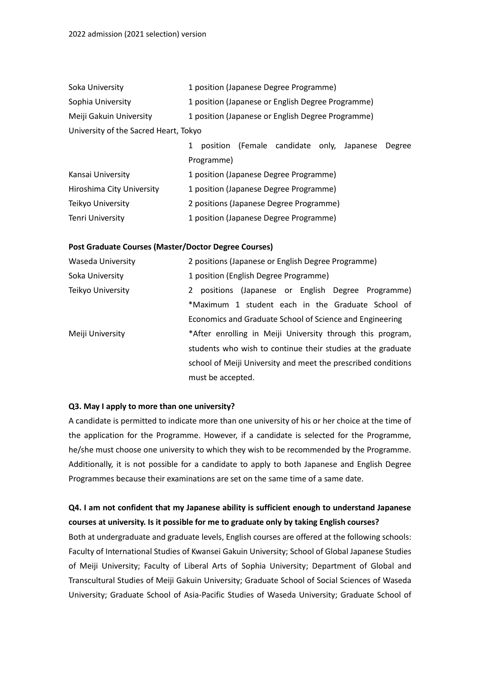| Soka University                       |                                                   |                   |  | 1 position (Japanese Degree Programme)           |  |  |
|---------------------------------------|---------------------------------------------------|-------------------|--|--------------------------------------------------|--|--|
| Sophia University                     | 1 position (Japanese or English Degree Programme) |                   |  |                                                  |  |  |
| Meiji Gakuin University               | 1 position (Japanese or English Degree Programme) |                   |  |                                                  |  |  |
| University of the Sacred Heart, Tokyo |                                                   |                   |  |                                                  |  |  |
|                                       |                                                   |                   |  | position (Female candidate only, Japanese Degree |  |  |
|                                       |                                                   | <b>Drogrammal</b> |  |                                                  |  |  |

| Kansai University         | 1 position (Japanese Degree Programme)  |
|---------------------------|-----------------------------------------|
| Hiroshima City University | 1 position (Japanese Degree Programme)  |
| Teikyo University         | 2 positions (Japanese Degree Programme) |
| <b>Tenri University</b>   | 1 position (Japanese Degree Programme)  |

#### **Post Graduate Courses (Master/Doctor Degree Courses)**

| <b>Waseda University</b> | 2 positions (Japanese or English Degree Programme)            |  |  |  |  |  |  |
|--------------------------|---------------------------------------------------------------|--|--|--|--|--|--|
| Soka University          | 1 position (English Degree Programme)                         |  |  |  |  |  |  |
| Teikyo University        | positions (Japanese or English Degree Programme)<br>2         |  |  |  |  |  |  |
|                          | *Maximum 1 student each in the Graduate School of             |  |  |  |  |  |  |
|                          | Economics and Graduate School of Science and Engineering      |  |  |  |  |  |  |
| Meiji University         | *After enrolling in Meiji University through this program,    |  |  |  |  |  |  |
|                          | students who wish to continue their studies at the graduate   |  |  |  |  |  |  |
|                          | school of Meiji University and meet the prescribed conditions |  |  |  |  |  |  |
|                          | must be accepted.                                             |  |  |  |  |  |  |

#### **Q3. May I apply to more than one university?**

A candidate is permitted to indicate more than one university of his or her choice at the time of the application for the Programme. However, if a candidate is selected for the Programme, he/she must choose one university to which they wish to be recommended by the Programme. Additionally, it is not possible for a candidate to apply to both Japanese and English Degree Programmes because their examinations are set on the same time of a same date.

## **Q4. I am not confident that my Japanese ability is sufficient enough to understand Japanese courses at university. Is it possible for me to graduate only by taking English courses?**

Both at undergraduate and graduate levels, English courses are offered at the following schools: Faculty of International Studies of Kwansei Gakuin University; School of Global Japanese Studies of Meiji University; Faculty of Liberal Arts of Sophia University; Department of Global and Transcultural Studies of Meiji Gakuin University; Graduate School of Social Sciences of Waseda University; Graduate School of Asia-Pacific Studies of Waseda University; Graduate School of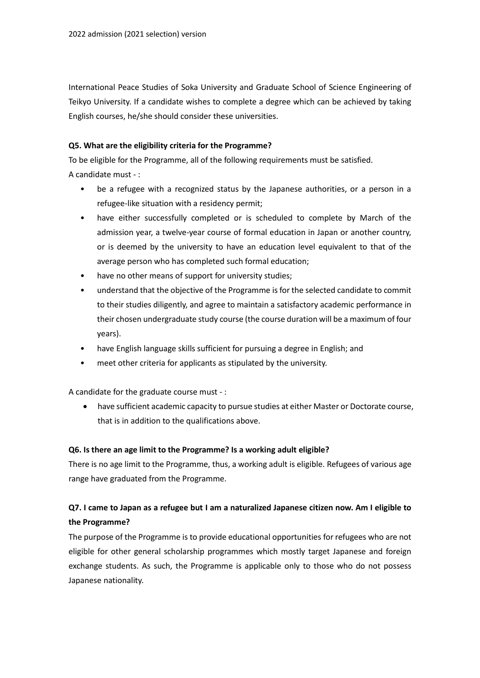International Peace Studies of Soka University and Graduate School of Science Engineering of Teikyo University. If a candidate wishes to complete a degree which can be achieved by taking English courses, he/she should consider these universities.

### **Q5. What are the eligibility criteria for the Programme?**

To be eligible for the Programme, all of the following requirements must be satisfied. A candidate must - :

- be a refugee with a recognized status by the Japanese authorities, or a person in a refugee-like situation with a residency permit;
- have either successfully completed or is scheduled to complete by March of the admission year, a twelve-year course of formal education in Japan or another country, or is deemed by the university to have an education level equivalent to that of the average person who has completed such formal education;
- have no other means of support for university studies;
- understand that the objective of the Programme is for the selected candidate to commit to their studies diligently, and agree to maintain a satisfactory academic performance in their chosen undergraduate study course (the course duration will be a maximum of four years).
- have English language skills sufficient for pursuing a degree in English; and
- meet other criteria for applicants as stipulated by the university.

A candidate for the graduate course must - :

 have sufficient academic capacity to pursue studies at either Master or Doctorate course, that is in addition to the qualifications above.

### **Q6. Is there an age limit to the Programme? Is a working adult eligible?**

There is no age limit to the Programme, thus, a working adult is eligible. Refugees of various age range have graduated from the Programme.

## **Q7. I came to Japan as a refugee but I am a naturalized Japanese citizen now. Am I eligible to the Programme?**

The purpose of the Programme is to provide educational opportunities for refugees who are not eligible for other general scholarship programmes which mostly target Japanese and foreign exchange students. As such, the Programme is applicable only to those who do not possess Japanese nationality.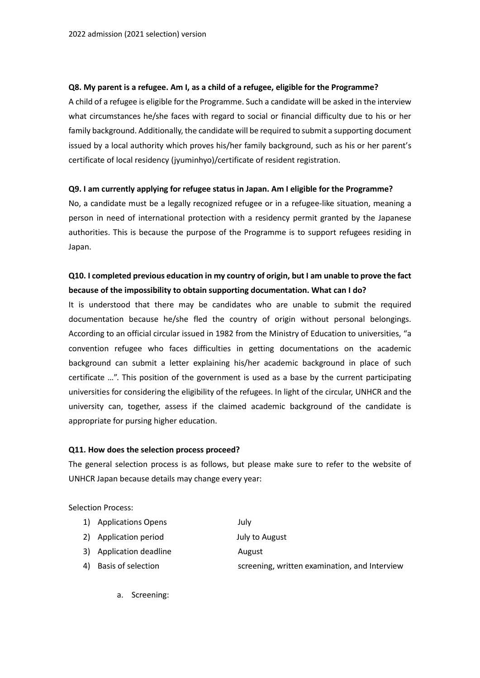#### **Q8. My parent is a refugee. Am I, as a child of a refugee, eligible for the Programme?**

A child of a refugee is eligible for the Programme. Such a candidate will be asked in the interview what circumstances he/she faces with regard to social or financial difficulty due to his or her family background. Additionally, the candidate will be required to submit a supporting document issued by a local authority which proves his/her family background, such as his or her parent's certificate of local residency (jyuminhyo)/certificate of resident registration.

### **Q9. I am currently applying for refugee status in Japan. Am I eligible for the Programme?**

No, a candidate must be a legally recognized refugee or in a refugee-like situation, meaning a person in need of international protection with a residency permit granted by the Japanese authorities. This is because the purpose of the Programme is to support refugees residing in Japan.

## **Q10. I completed previous education in my country of origin, but I am unable to prove the fact because of the impossibility to obtain supporting documentation. What can I do?**

It is understood that there may be candidates who are unable to submit the required documentation because he/she fled the country of origin without personal belongings. According to an official circular issued in 1982 from the Ministry of Education to universities, "a convention refugee who faces difficulties in getting documentations on the academic background can submit a letter explaining his/her academic background in place of such certificate …". This position of the government is used as a base by the current participating universities for considering the eligibility of the refugees. In light of the circular, UNHCR and the university can, together, assess if the claimed academic background of the candidate is appropriate for pursing higher education.

#### **Q11. How does the selection process proceed?**

The general selection process is as follows, but please make sure to refer to the website of UNHCR Japan because details may change every year:

Selection Process:

- 1) Applications Opens July
- 2) Application period July to August
- 3) Application deadline **August** 
	-
- 4) Basis of selection screening, written examination, and Interview
	- a. Screening: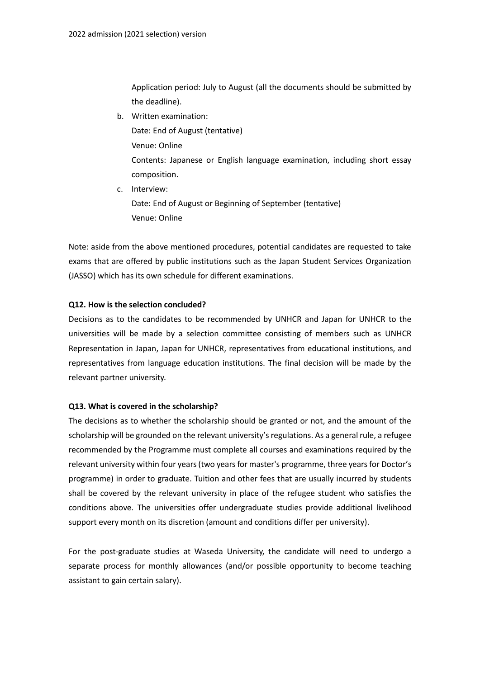Application period: July to August (all the documents should be submitted by the deadline).

b. Written examination:

Date: End of August (tentative) Venue: Online Contents: Japanese or English language examination, including short essay composition.

c. Interview: Date: End of August or Beginning of September (tentative) Venue: Online

Note: aside from the above mentioned procedures, potential candidates are requested to take exams that are offered by public institutions such as the Japan Student Services Organization (JASSO) which has its own schedule for different examinations.

### **Q12. How is the selection concluded?**

Decisions as to the candidates to be recommended by UNHCR and Japan for UNHCR to the universities will be made by a selection committee consisting of members such as UNHCR Representation in Japan, Japan for UNHCR, representatives from educational institutions, and representatives from language education institutions. The final decision will be made by the relevant partner university.

#### **Q13. What is covered in the scholarship?**

The decisions as to whether the scholarship should be granted or not, and the amount of the scholarship will be grounded on the relevant university's regulations. As a general rule, a refugee recommended by the Programme must complete all courses and examinations required by the relevant university within four years (two years for master's programme, three years for Doctor's programme) in order to graduate. Tuition and other fees that are usually incurred by students shall be covered by the relevant university in place of the refugee student who satisfies the conditions above. The universities offer undergraduate studies provide additional livelihood support every month on its discretion (amount and conditions differ per university).

For the post-graduate studies at Waseda University, the candidate will need to undergo a separate process for monthly allowances (and/or possible opportunity to become teaching assistant to gain certain salary).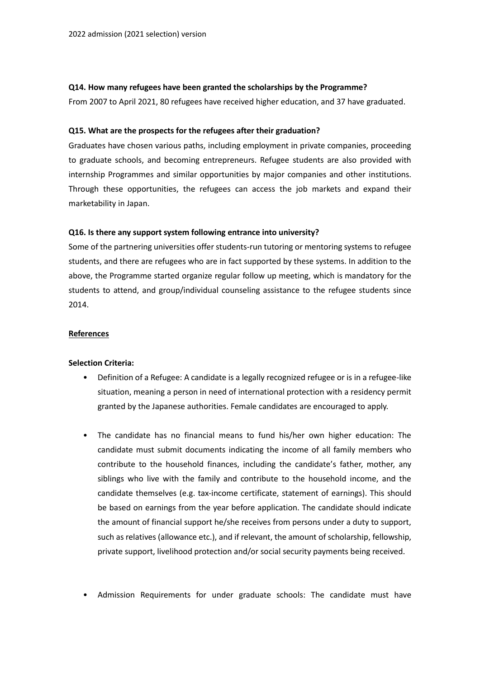#### **Q14. How many refugees have been granted the scholarships by the Programme?**

From 2007 to April 2021, 80 refugees have received higher education, and 37 have graduated.

### **Q15. What are the prospects for the refugees after their graduation?**

Graduates have chosen various paths, including employment in private companies, proceeding to graduate schools, and becoming entrepreneurs. Refugee students are also provided with internship Programmes and similar opportunities by major companies and other institutions. Through these opportunities, the refugees can access the job markets and expand their marketability in Japan.

### **Q16. Is there any support system following entrance into university?**

Some of the partnering universities offer students-run tutoring or mentoring systems to refugee students, and there are refugees who are in fact supported by these systems. In addition to the above, the Programme started organize regular follow up meeting, which is mandatory for the students to attend, and group/individual counseling assistance to the refugee students since 2014.

#### **References**

#### **Selection Criteria:**

- Definition of a Refugee: A candidate is a legally recognized refugee or is in a refugee-like situation, meaning a person in need of international protection with a residency permit granted by the Japanese authorities. Female candidates are encouraged to apply.
- The candidate has no financial means to fund his/her own higher education: The candidate must submit documents indicating the income of all family members who contribute to the household finances, including the candidate's father, mother, any siblings who live with the family and contribute to the household income, and the candidate themselves (e.g. tax-income certificate, statement of earnings). This should be based on earnings from the year before application. The candidate should indicate the amount of financial support he/she receives from persons under a duty to support, such as relatives (allowance etc.), and if relevant, the amount of scholarship, fellowship, private support, livelihood protection and/or social security payments being received.
- Admission Requirements for under graduate schools: The candidate must have